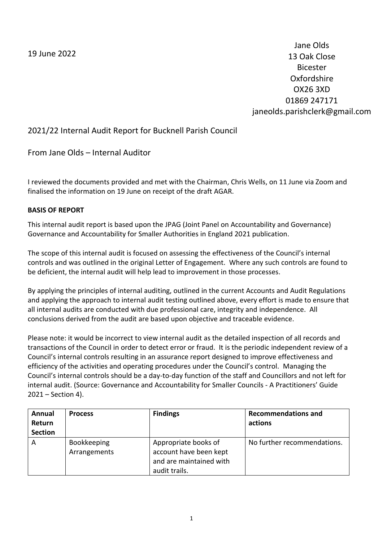19 June 2022

Jane Olds 13 Oak Close Bicester Oxfordshire OX26 3XD 01869 247171 janeolds.parishclerk@gmail.com

# 2021/22 Internal Audit Report for Bucknell Parish Council

From Jane Olds – Internal Auditor

I reviewed the documents provided and met with the Chairman, Chris Wells, on 11 June via Zoom and finalised the information on 19 June on receipt of the draft AGAR.

### **BASIS OF REPORT**

This internal audit report is based upon the JPAG (Joint Panel on Accountability and Governance) Governance and Accountability for Smaller Authorities in England 2021 publication.

The scope of this internal audit is focused on assessing the effectiveness of the Council's internal controls and was outlined in the original Letter of Engagement. Where any such controls are found to be deficient, the internal audit will help lead to improvement in those processes.

By applying the principles of internal auditing, outlined in the current Accounts and Audit Regulations and applying the approach to internal audit testing outlined above, every effort is made to ensure that all internal audits are conducted with due professional care, integrity and independence. All conclusions derived from the audit are based upon objective and traceable evidence.

Please note: it would be incorrect to view internal audit as the detailed inspection of all records and transactions of the Council in order to detect error or fraud. It is the periodic independent review of a Council's internal controls resulting in an assurance report designed to improve effectiveness and efficiency of the activities and operating procedures under the Council's control. Managing the Council's internal controls should be a day-to-day function of the staff and Councillors and not left for internal audit. (Source: Governance and Accountability for Smaller Councils - A Practitioners' Guide 2021 – Section 4).

| Annual<br>Return<br><b>Section</b> | <b>Process</b>              | <b>Findings</b>                                                                            | <b>Recommendations and</b><br>actions |
|------------------------------------|-----------------------------|--------------------------------------------------------------------------------------------|---------------------------------------|
| A                                  | Bookkeeping<br>Arrangements | Appropriate books of<br>account have been kept<br>and are maintained with<br>audit trails. | No further recommendations.           |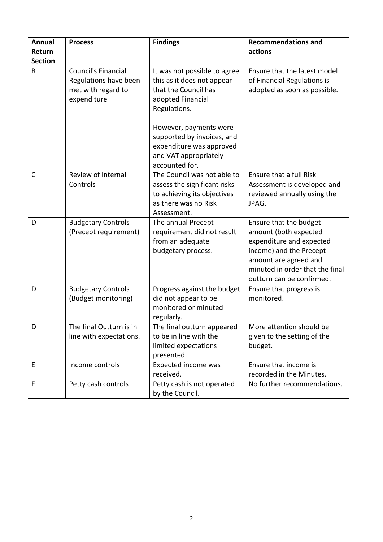| <b>Annual</b>  | <b>Process</b>                                                                           | <b>Findings</b>                                                                                                                                   | <b>Recommendations and</b>                                                                                                                                                                      |
|----------------|------------------------------------------------------------------------------------------|---------------------------------------------------------------------------------------------------------------------------------------------------|-------------------------------------------------------------------------------------------------------------------------------------------------------------------------------------------------|
| Return         |                                                                                          |                                                                                                                                                   | actions                                                                                                                                                                                         |
| <b>Section</b> |                                                                                          |                                                                                                                                                   |                                                                                                                                                                                                 |
| B              | <b>Council's Financial</b><br>Regulations have been<br>met with regard to<br>expenditure | It was not possible to agree<br>this as it does not appear<br>that the Council has<br>adopted Financial<br>Regulations.<br>However, payments were | Ensure that the latest model<br>of Financial Regulations is<br>adopted as soon as possible.                                                                                                     |
|                |                                                                                          | supported by invoices, and<br>expenditure was approved<br>and VAT appropriately<br>accounted for.                                                 |                                                                                                                                                                                                 |
| C              | Review of Internal<br>Controls                                                           | The Council was not able to<br>assess the significant risks<br>to achieving its objectives<br>as there was no Risk<br>Assessment.                 | Ensure that a full Risk<br>Assessment is developed and<br>reviewed annually using the<br>JPAG.                                                                                                  |
| D              | <b>Budgetary Controls</b><br>(Precept requirement)                                       | The annual Precept<br>requirement did not result<br>from an adequate<br>budgetary process.                                                        | Ensure that the budget<br>amount (both expected<br>expenditure and expected<br>income) and the Precept<br>amount are agreed and<br>minuted in order that the final<br>outturn can be confirmed. |
| D              | <b>Budgetary Controls</b><br>(Budget monitoring)                                         | Progress against the budget<br>did not appear to be<br>monitored or minuted<br>regularly.                                                         | Ensure that progress is<br>monitored.                                                                                                                                                           |
| D              | The final Outturn is in<br>line with expectations.                                       | The final outturn appeared<br>to be in line with the<br>limited expectations<br>presented.                                                        | More attention should be<br>given to the setting of the<br>budget.                                                                                                                              |
| E              | Income controls                                                                          | Expected income was<br>received.                                                                                                                  | Ensure that income is<br>recorded in the Minutes.                                                                                                                                               |
| F              | Petty cash controls                                                                      | Petty cash is not operated<br>by the Council.                                                                                                     | No further recommendations.                                                                                                                                                                     |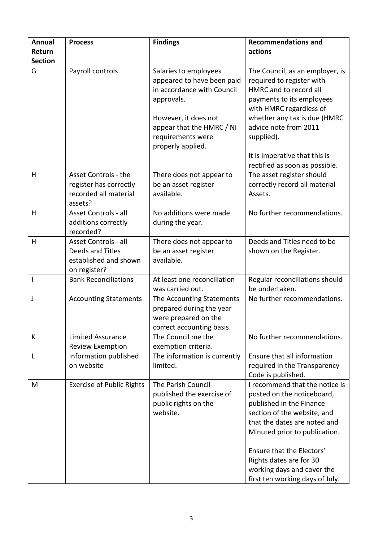| Annual              | <b>Process</b>                                                                     | <b>Findings</b>                                                                                                                                                                                | <b>Recommendations and</b>                                                                                                                                                                                                                                                                                        |
|---------------------|------------------------------------------------------------------------------------|------------------------------------------------------------------------------------------------------------------------------------------------------------------------------------------------|-------------------------------------------------------------------------------------------------------------------------------------------------------------------------------------------------------------------------------------------------------------------------------------------------------------------|
| Return              |                                                                                    |                                                                                                                                                                                                | actions                                                                                                                                                                                                                                                                                                           |
| <b>Section</b><br>G | Payroll controls                                                                   | Salaries to employees<br>appeared to have been paid<br>in accordance with Council<br>approvals.<br>However, it does not<br>appear that the HMRC / NI<br>requirements were<br>properly applied. | The Council, as an employer, is<br>required to register with<br>HMRC and to record all<br>payments to its employees<br>with HMRC regardless of<br>whether any tax is due (HMRC<br>advice note from 2011<br>supplied).<br>It is imperative that this is                                                            |
| H                   | Asset Controls - the<br>register has correctly<br>recorded all material<br>assets? | There does not appear to<br>be an asset register<br>available.                                                                                                                                 | rectified as soon as possible.<br>The asset register should<br>correctly record all material<br>Assets.                                                                                                                                                                                                           |
| H                   | Asset Controls - all<br>additions correctly<br>recorded?                           | No additions were made<br>during the year.                                                                                                                                                     | No further recommendations.                                                                                                                                                                                                                                                                                       |
| H                   | Asset Controls - all<br>Deeds and Titles<br>established and shown<br>on register?  | There does not appear to<br>be an asset register<br>available.                                                                                                                                 | Deeds and Titles need to be<br>shown on the Register.                                                                                                                                                                                                                                                             |
| I                   | <b>Bank Reconciliations</b>                                                        | At least one reconciliation<br>was carried out.                                                                                                                                                | Regular reconciliations should<br>be undertaken.                                                                                                                                                                                                                                                                  |
| $\mathsf{l}$        | <b>Accounting Statements</b>                                                       | The Accounting Statements<br>prepared during the year<br>were prepared on the<br>correct accounting basis.                                                                                     | No further recommendations.                                                                                                                                                                                                                                                                                       |
| К                   | <b>Limited Assurance</b><br><b>Review Exemption</b>                                | The Council me the<br>exemption criteria.                                                                                                                                                      | No further recommendations.                                                                                                                                                                                                                                                                                       |
| L                   | Information published<br>on website                                                | The information is currently<br>limited.                                                                                                                                                       | Ensure that all information<br>required in the Transparency<br>Code is published.                                                                                                                                                                                                                                 |
| M                   | <b>Exercise of Public Rights</b>                                                   | The Parish Council<br>published the exercise of<br>public rights on the<br>website.                                                                                                            | I recommend that the notice is<br>posted on the noticeboard,<br>published in the Finance<br>section of the website, and<br>that the dates are noted and<br>Minuted prior to publication.<br>Ensure that the Electors'<br>Rights dates are for 30<br>working days and cover the<br>first ten working days of July. |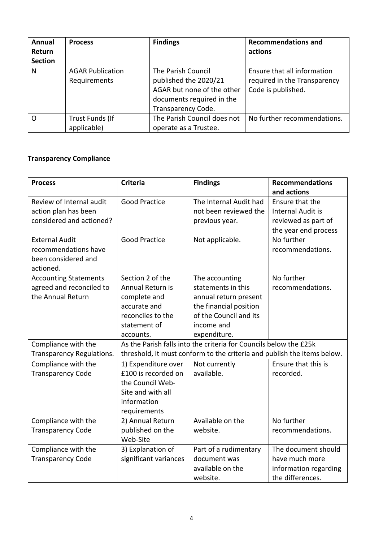| Annual<br>Return<br><b>Section</b> | <b>Process</b>                          | <b>Findings</b>                                                                                                              | <b>Recommendations and</b><br>actions                                             |
|------------------------------------|-----------------------------------------|------------------------------------------------------------------------------------------------------------------------------|-----------------------------------------------------------------------------------|
| N                                  | <b>AGAR Publication</b><br>Requirements | The Parish Council<br>published the 2020/21<br>AGAR but none of the other<br>documents required in the<br>Transparency Code. | Ensure that all information<br>required in the Transparency<br>Code is published. |
| O                                  | Trust Funds (If<br>applicable)          | The Parish Council does not<br>operate as a Trustee.                                                                         | No further recommendations.                                                       |

## **Transparency Compliance**

| <b>Process</b>                                                                    | <b>Criteria</b>                                                                                                                              | <b>Findings</b>                                                                                                                                 | <b>Recommendations</b><br>and actions                                                      |
|-----------------------------------------------------------------------------------|----------------------------------------------------------------------------------------------------------------------------------------------|-------------------------------------------------------------------------------------------------------------------------------------------------|--------------------------------------------------------------------------------------------|
| Review of Internal audit<br>action plan has been<br>considered and actioned?      | <b>Good Practice</b>                                                                                                                         | The Internal Audit had<br>not been reviewed the<br>previous year.                                                                               | Ensure that the<br><b>Internal Audit is</b><br>reviewed as part of<br>the year end process |
| <b>External Audit</b><br>recommendations have<br>been considered and<br>actioned. | <b>Good Practice</b>                                                                                                                         | Not applicable.                                                                                                                                 | No further<br>recommendations.                                                             |
| <b>Accounting Statements</b><br>agreed and reconciled to<br>the Annual Return     | Section 2 of the<br>Annual Return is<br>complete and<br>accurate and<br>reconciles to the<br>statement of<br>accounts.                       | The accounting<br>statements in this<br>annual return present<br>the financial position<br>of the Council and its<br>income and<br>expenditure. | No further<br>recommendations.                                                             |
| Compliance with the<br><b>Transparency Regulations.</b>                           | As the Parish falls into the criteria for Councils below the £25k<br>threshold, it must conform to the criteria and publish the items below. |                                                                                                                                                 |                                                                                            |
| Compliance with the<br><b>Transparency Code</b>                                   | 1) Expenditure over<br>£100 is recorded on<br>the Council Web-<br>Site and with all<br>information<br>requirements                           | Not currently<br>available.                                                                                                                     | Ensure that this is<br>recorded.                                                           |
| Compliance with the<br><b>Transparency Code</b>                                   | 2) Annual Return<br>published on the<br>Web-Site                                                                                             | Available on the<br>website.                                                                                                                    | No further<br>recommendations.                                                             |
| Compliance with the<br><b>Transparency Code</b>                                   | 3) Explanation of<br>significant variances                                                                                                   | Part of a rudimentary<br>document was<br>available on the<br>website.                                                                           | The document should<br>have much more<br>information regarding<br>the differences.         |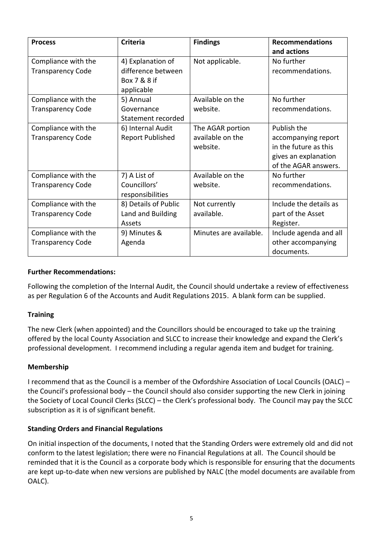| <b>Process</b>                                  | <b>Criteria</b>                                                       | <b>Findings</b>                                  | <b>Recommendations</b><br>and actions                                                                       |
|-------------------------------------------------|-----------------------------------------------------------------------|--------------------------------------------------|-------------------------------------------------------------------------------------------------------------|
| Compliance with the<br><b>Transparency Code</b> | 4) Explanation of<br>difference between<br>Box 7 & 8 if<br>applicable | Not applicable.                                  | No further<br>recommendations.                                                                              |
| Compliance with the<br><b>Transparency Code</b> | 5) Annual<br>Governance<br>Statement recorded                         | Available on the<br>website.                     | No further<br>recommendations.                                                                              |
| Compliance with the<br><b>Transparency Code</b> | 6) Internal Audit<br><b>Report Published</b>                          | The AGAR portion<br>available on the<br>website. | Publish the<br>accompanying report<br>in the future as this<br>gives an explanation<br>of the AGAR answers. |
| Compliance with the<br><b>Transparency Code</b> | 7) A List of<br>Councillors'<br>responsibilities                      | Available on the<br>website.                     | No further<br>recommendations.                                                                              |
| Compliance with the<br><b>Transparency Code</b> | 8) Details of Public<br>Land and Building<br>Assets                   | Not currently<br>available.                      | Include the details as<br>part of the Asset<br>Register.                                                    |
| Compliance with the<br><b>Transparency Code</b> | 9) Minutes &<br>Agenda                                                | Minutes are available.                           | Include agenda and all<br>other accompanying<br>documents.                                                  |

### **Further Recommendations:**

Following the completion of the Internal Audit, the Council should undertake a review of effectiveness as per Regulation 6 of the Accounts and Audit Regulations 2015. A blank form can be supplied.

### **Training**

The new Clerk (when appointed) and the Councillors should be encouraged to take up the training offered by the local County Association and SLCC to increase their knowledge and expand the Clerk's professional development. I recommend including a regular agenda item and budget for training.

### **Membership**

I recommend that as the Council is a member of the Oxfordshire Association of Local Councils (OALC) – the Council's professional body – the Council should also consider supporting the new Clerk in joining the Society of Local Council Clerks (SLCC) – the Clerk's professional body. The Council may pay the SLCC subscription as it is of significant benefit.

### **Standing Orders and Financial Regulations**

On initial inspection of the documents, I noted that the Standing Orders were extremely old and did not conform to the latest legislation; there were no Financial Regulations at all. The Council should be reminded that it is the Council as a corporate body which is responsible for ensuring that the documents are kept up-to-date when new versions are published by NALC (the model documents are available from OALC).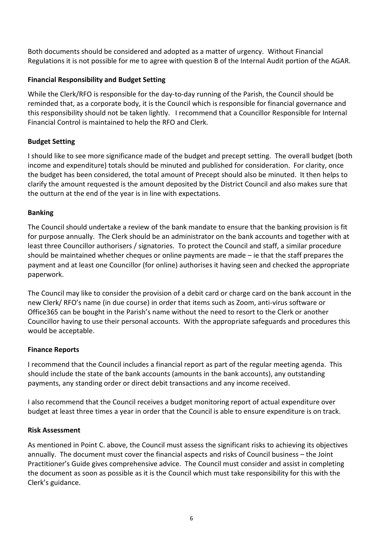Both documents should be considered and adopted as a matter of urgency. Without Financial Regulations it is not possible for me to agree with question B of the Internal Audit portion of the AGAR.

### **Financial Responsibility and Budget Setting**

While the Clerk/RFO is responsible for the day-to-day running of the Parish, the Council should be reminded that, as a corporate body, it is the Council which is responsible for financial governance and this responsibility should not be taken lightly. I recommend that a Councillor Responsible for Internal Financial Control is maintained to help the RFO and Clerk.

## **Budget Setting**

I should like to see more significance made of the budget and precept setting. The overall budget (both income and expenditure) totals should be minuted and published for consideration. For clarity, once the budget has been considered, the total amount of Precept should also be minuted. It then helps to clarify the amount requested is the amount deposited by the District Council and also makes sure that the outturn at the end of the year is in line with expectations.

### **Banking**

The Council should undertake a review of the bank mandate to ensure that the banking provision is fit for purpose annually. The Clerk should be an administrator on the bank accounts and together with at least three Councillor authorisers / signatories. To protect the Council and staff, a similar procedure should be maintained whether cheques or online payments are made – ie that the staff prepares the payment and at least one Councillor (for online) authorises it having seen and checked the appropriate paperwork.

The Council may like to consider the provision of a debit card or charge card on the bank account in the new Clerk/ RFO's name (in due course) in order that items such as Zoom, anti-virus software or Office365 can be bought in the Parish's name without the need to resort to the Clerk or another Councillor having to use their personal accounts. With the appropriate safeguards and procedures this would be acceptable.

### **Finance Reports**

I recommend that the Council includes a financial report as part of the regular meeting agenda. This should include the state of the bank accounts (amounts in the bank accounts), any outstanding payments, any standing order or direct debit transactions and any income received.

I also recommend that the Council receives a budget monitoring report of actual expenditure over budget at least three times a year in order that the Council is able to ensure expenditure is on track.

### **Risk Assessment**

As mentioned in Point C. above, the Council must assess the significant risks to achieving its objectives annually. The document must cover the financial aspects and risks of Council business – the Joint Practitioner's Guide gives comprehensive advice. The Council must consider and assist in completing the document as soon as possible as it is the Council which must take responsibility for this with the Clerk's guidance.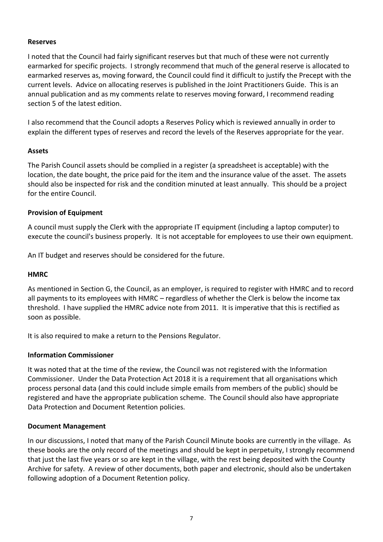#### **Reserves**

I noted that the Council had fairly significant reserves but that much of these were not currently earmarked for specific projects. I strongly recommend that much of the general reserve is allocated to earmarked reserves as, moving forward, the Council could find it difficult to justify the Precept with the current levels. Advice on allocating reserves is published in the Joint Practitioners Guide. This is an annual publication and as my comments relate to reserves moving forward, I recommend reading section 5 of the latest edition.

I also recommend that the Council adopts a Reserves Policy which is reviewed annually in order to explain the different types of reserves and record the levels of the Reserves appropriate for the year.

### **Assets**

The Parish Council assets should be complied in a register (a spreadsheet is acceptable) with the location, the date bought, the price paid for the item and the insurance value of the asset. The assets should also be inspected for risk and the condition minuted at least annually. This should be a project for the entire Council.

#### **Provision of Equipment**

A council must supply the Clerk with the appropriate IT equipment (including a laptop computer) to execute the council's business properly. It is not acceptable for employees to use their own equipment.

An IT budget and reserves should be considered for the future.

#### **HMRC**

As mentioned in Section G, the Council, as an employer, is required to register with HMRC and to record all payments to its employees with HMRC – regardless of whether the Clerk is below the income tax threshold. I have supplied the HMRC advice note from 2011. It is imperative that this is rectified as soon as possible.

It is also required to make a return to the Pensions Regulator.

#### **Information Commissioner**

It was noted that at the time of the review, the Council was not registered with the Information Commissioner. Under the Data Protection Act 2018 it is a requirement that all organisations which process personal data (and this could include simple emails from members of the public) should be registered and have the appropriate publication scheme. The Council should also have appropriate Data Protection and Document Retention policies.

#### **Document Management**

In our discussions, I noted that many of the Parish Council Minute books are currently in the village. As these books are the only record of the meetings and should be kept in perpetuity, I strongly recommend that just the last five years or so are kept in the village, with the rest being deposited with the County Archive for safety. A review of other documents, both paper and electronic, should also be undertaken following adoption of a Document Retention policy.